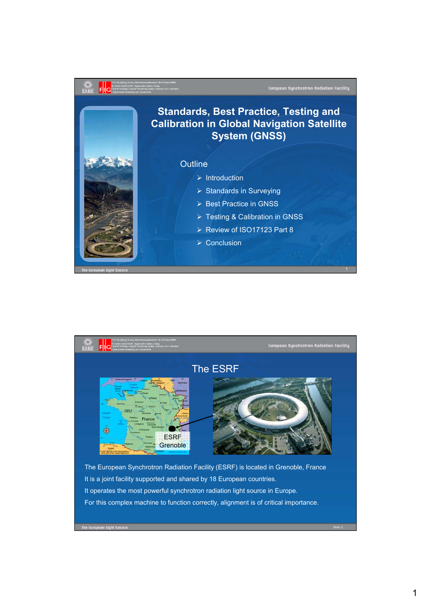

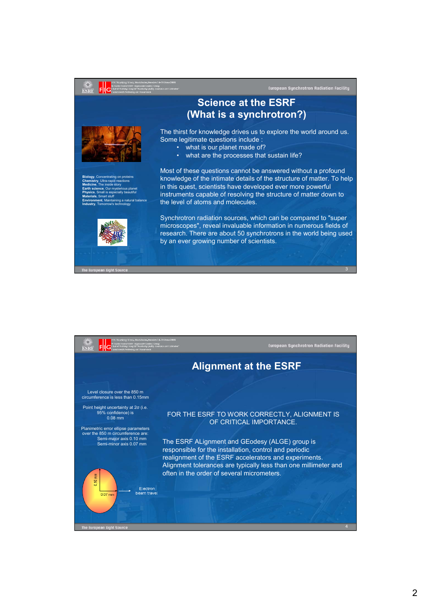## $\frac{3}{15}$ **European Synchrotron Radiation Facility Science at the ESRF (What is a synchrotron?)** The thirst for knowledge drives us to explore the world around us. Some legitimate questions include : • what is our planet made of? • what are the processes that sustain life? Most of these questions cannot be answered without a profound knowledge of the intimate details of the structure of matter. To help **Biology**, Concentrating on proteins **Chemistry**, Ultra-rapid reactions in this quest, scientists have developed ever more powerful **Medicine**, The inside story **Earth science**, Our mysterious planet **Physics**, Small is especially beautiful instruments capable of resolving the structure of matter down to **Materials**, Smart stuff **Environment**, Maintaining a natural balance the level of atoms and molecules. **Industry**, Tomorrow's technology Synchrotron radiation sources, which can be compared to "super microscopes", reveal invaluable information in numerous fields of research. There are about 50 synchrotrons in the world being used by an ever growing number of scientists.

The European Light Si



3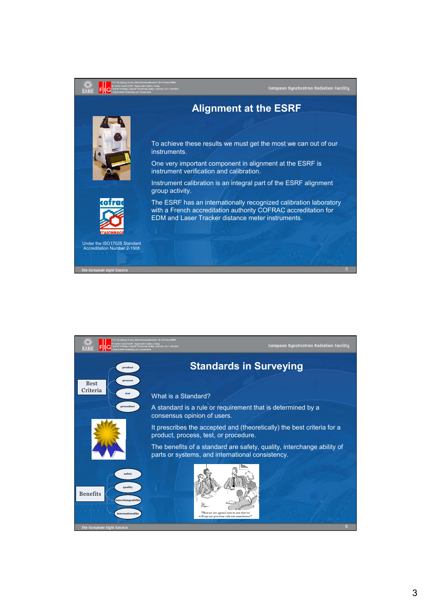

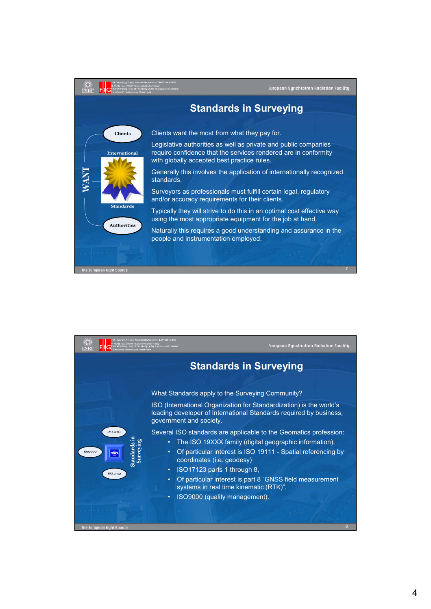

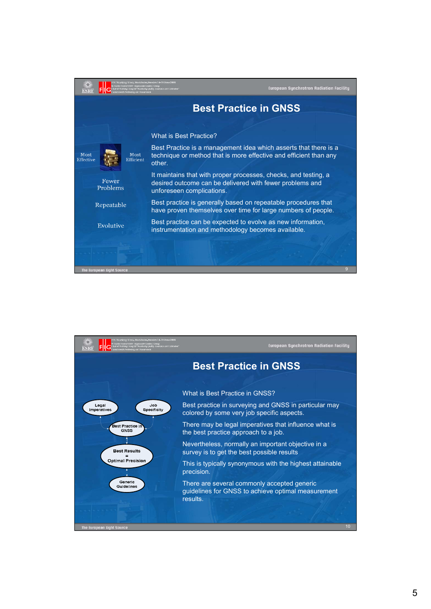

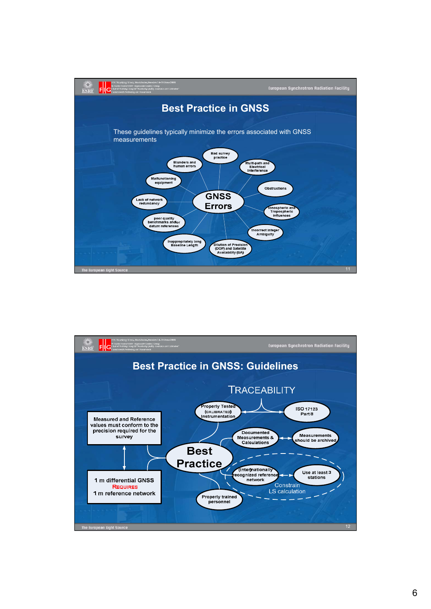

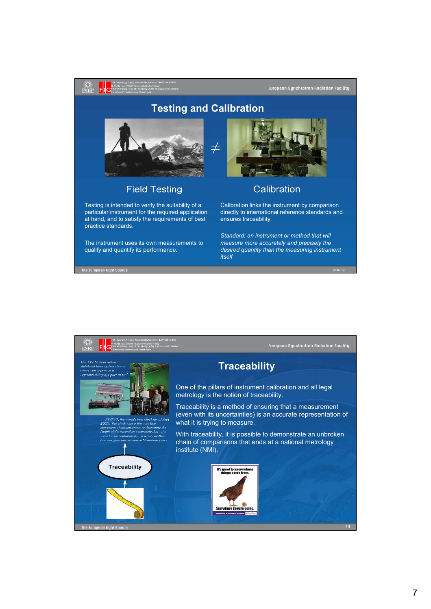## **Testing and Calibration**



ESRF

 $\mathsf{F}$ 

rhe European Light Source

## **Field Testing**

Testing is intended to verify the suitability of a particular instrument for the required application at hand, and to satisfy the requirements of best practice standards.

The instrument uses its own measurements to qualify and quantify its performance.



European Synchrotron Radiation Facility

## Calibration

Calibration links the instrument by comparison directly to international reference standards and ensures traceability.

*Standard: an instrument or method that will measure more accurately and precisely the desired quantity than the measuring instrument itself*

Slide: 13

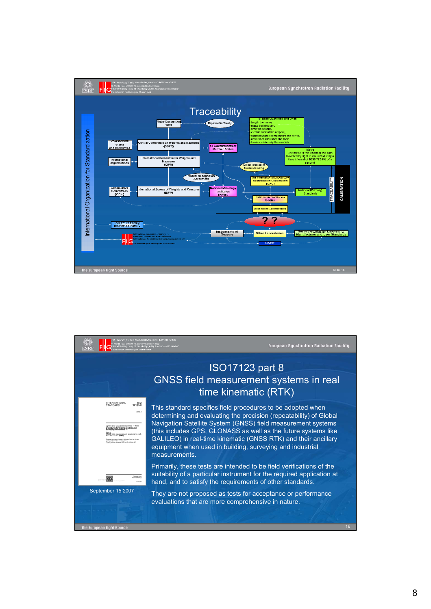